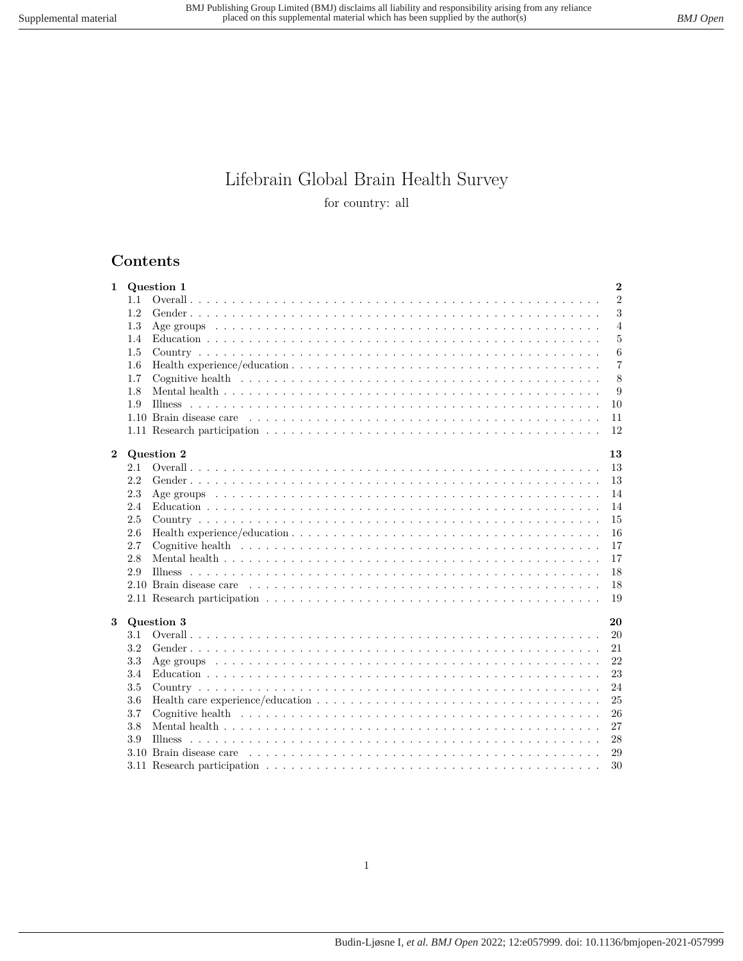# Lifebrain Global Brain Health Survey for country: all

## **Contents**

| $\mathbf{1}$     |            | $\mathbf{2}$<br>Question 1                                                                                                                                                                                                                 |
|------------------|------------|--------------------------------------------------------------------------------------------------------------------------------------------------------------------------------------------------------------------------------------------|
|                  | 1.1        | $\overline{2}$                                                                                                                                                                                                                             |
|                  | 1.2        | 3                                                                                                                                                                                                                                          |
|                  | 1.3        | $\overline{4}$                                                                                                                                                                                                                             |
|                  | 1.4        | $\bf 5$                                                                                                                                                                                                                                    |
|                  | 1.5        | 6                                                                                                                                                                                                                                          |
|                  | 1.6        | $\overline{7}$<br>Health experience/education $\dots \dots \dots \dots \dots \dots \dots \dots \dots \dots \dots \dots \dots \dots \dots \dots$                                                                                            |
|                  | 1.7        | 8                                                                                                                                                                                                                                          |
|                  | 1.8        | 9                                                                                                                                                                                                                                          |
|                  | 1.9        | 10                                                                                                                                                                                                                                         |
|                  |            | 11                                                                                                                                                                                                                                         |
|                  |            | 12                                                                                                                                                                                                                                         |
|                  |            |                                                                                                                                                                                                                                            |
| $\boldsymbol{2}$ |            | Question 2<br>13                                                                                                                                                                                                                           |
|                  | 2.1        | 13                                                                                                                                                                                                                                         |
|                  | 2.2        | 13                                                                                                                                                                                                                                         |
|                  | 2.3<br>2.4 | Age groups experience in the contract of the contract of the contract of the contract of the contract of the contract of the contract of the contract of the contract of the contract of the contract of the contract of the c<br>14<br>14 |
|                  | 2.5        | 15                                                                                                                                                                                                                                         |
|                  | 2.6        | 16                                                                                                                                                                                                                                         |
|                  | 2.7        | 17                                                                                                                                                                                                                                         |
|                  | 2.8        | 17                                                                                                                                                                                                                                         |
|                  | 2.9        | 18                                                                                                                                                                                                                                         |
|                  |            | 18                                                                                                                                                                                                                                         |
|                  |            | 19                                                                                                                                                                                                                                         |
|                  |            |                                                                                                                                                                                                                                            |
| 3                |            | Question 3<br>20                                                                                                                                                                                                                           |
|                  | 3.1        | 20                                                                                                                                                                                                                                         |
|                  | 3.2        | 21                                                                                                                                                                                                                                         |
|                  | 3.3        | 22                                                                                                                                                                                                                                         |
|                  | 3.4        | 23                                                                                                                                                                                                                                         |
|                  | 3.5        | 24                                                                                                                                                                                                                                         |
|                  | 3.6        | $25\,$                                                                                                                                                                                                                                     |
|                  | 3.7        | 26                                                                                                                                                                                                                                         |
|                  | 3.8        | 27                                                                                                                                                                                                                                         |
|                  | 3.9        | 28                                                                                                                                                                                                                                         |
|                  |            | 29                                                                                                                                                                                                                                         |
|                  |            | 30                                                                                                                                                                                                                                         |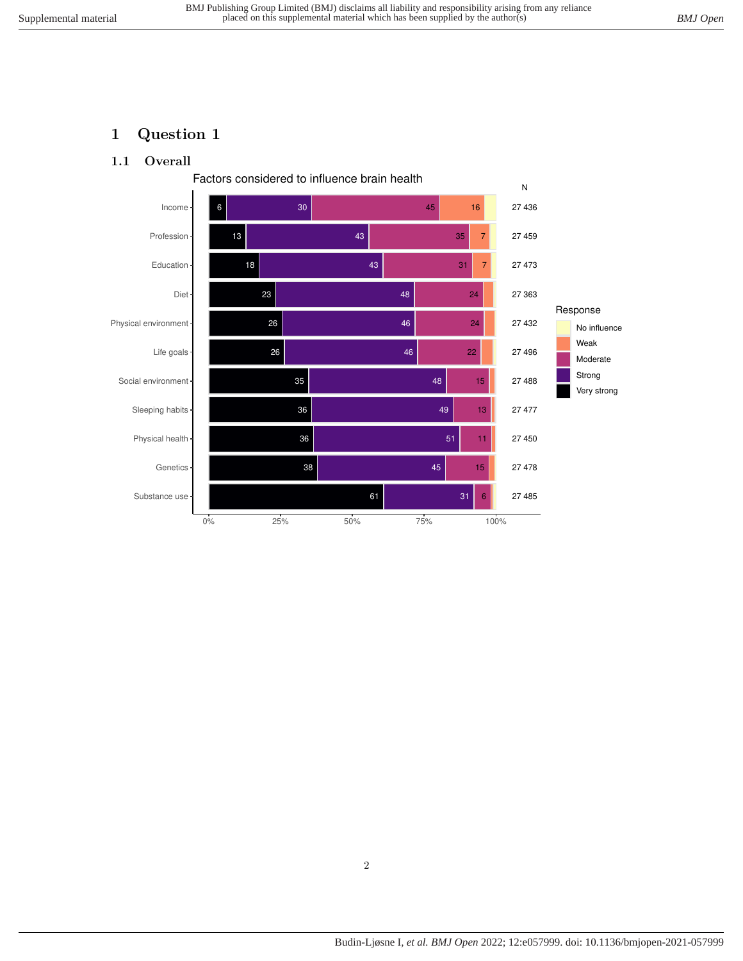## <span id="page-1-1"></span><span id="page-1-0"></span>**1 Question 1**

#### **1.1 Overall**

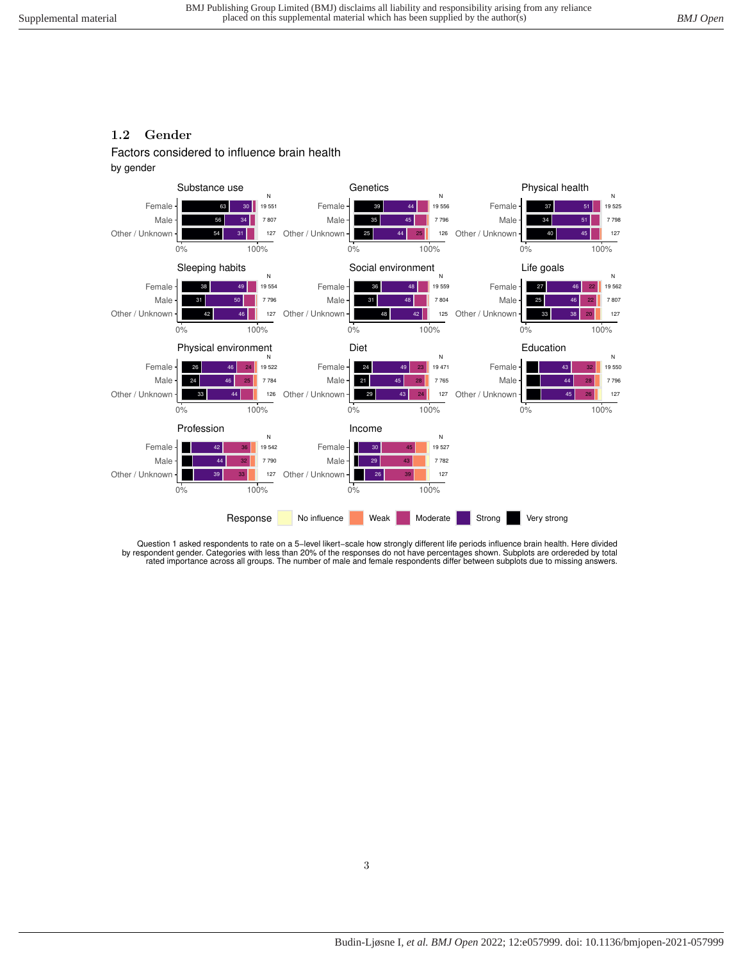## <span id="page-2-0"></span>**1.2 Gender**

Factors considered to influence brain health

#### by gender



Question 1 asked respondents to rate on a 5–level likert–scale how strongly different life periods influence brain health. Here divided<br>by respondent gender. Categories with less than 20% of the responses do not have perce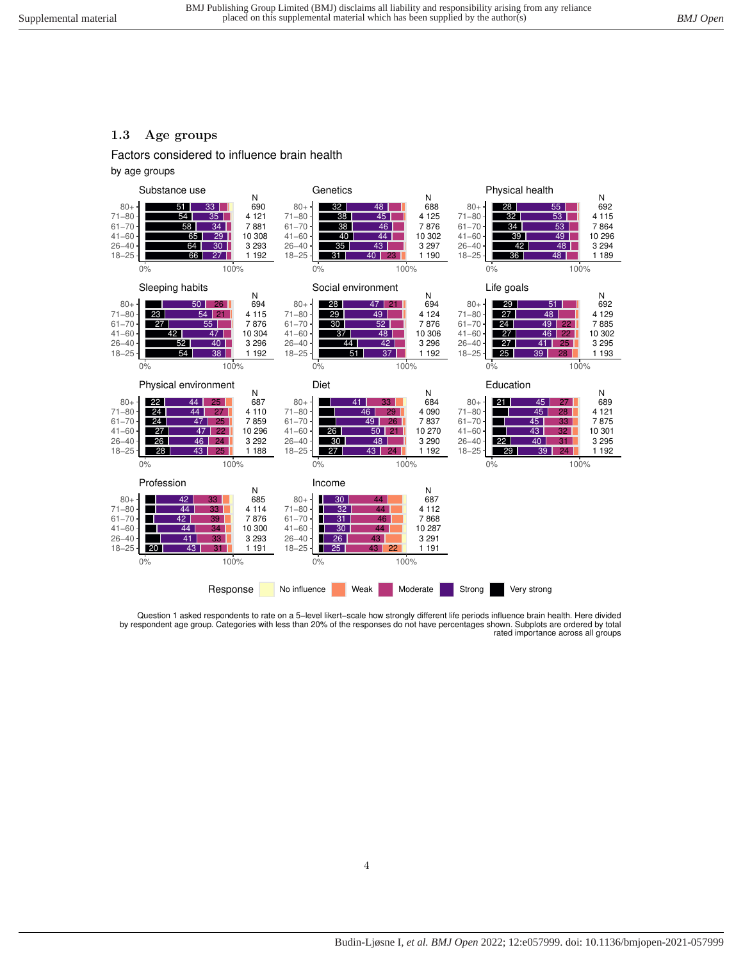#### <span id="page-3-0"></span>**1.3 Age groups**

Factors considered to influence brain health

by age groups



Question 1 asked respondents to rate on a 5−level likert−scale how strongly different life periods influence brain health. Here divided by respondent age group. Categories with less than 20% of the responses do not have percentages shown. Subplots are ordered by total rated importance across all groups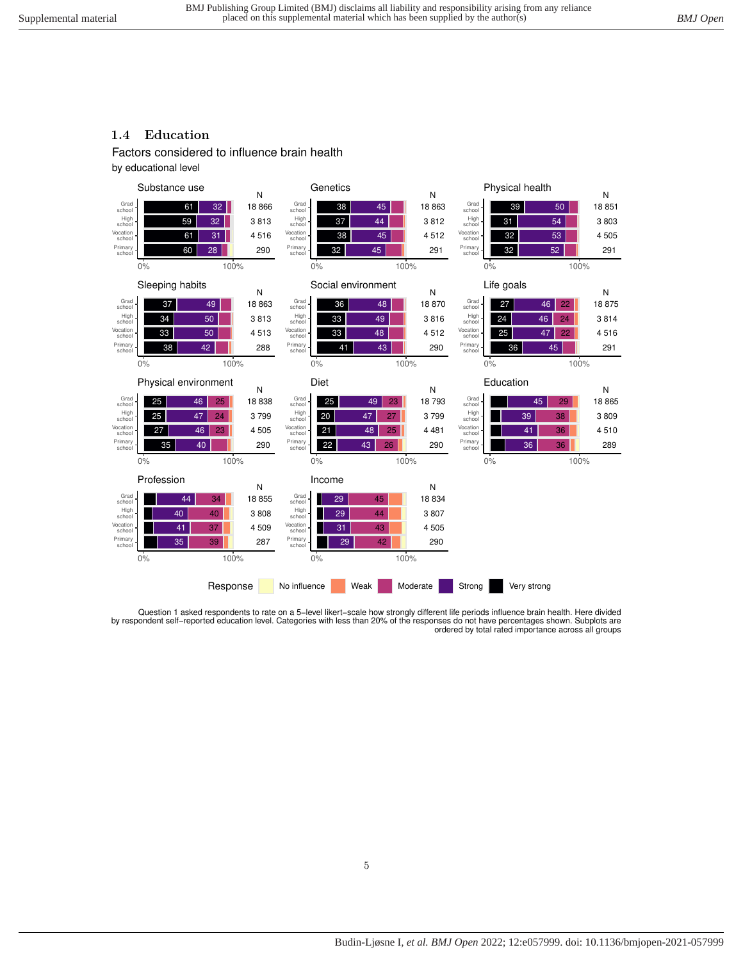## <span id="page-4-0"></span>**1.4 Education**

Factors considered to influence brain health

by educational level



Question 1 asked respondents to rate on a 5−level likert−scale how strongly different life periods influence brain health. Here divided by respondent self−reported education level. Categories with less than 20% of the responses do not have percentages shown. Subplots are ordered by total rated importance across all groups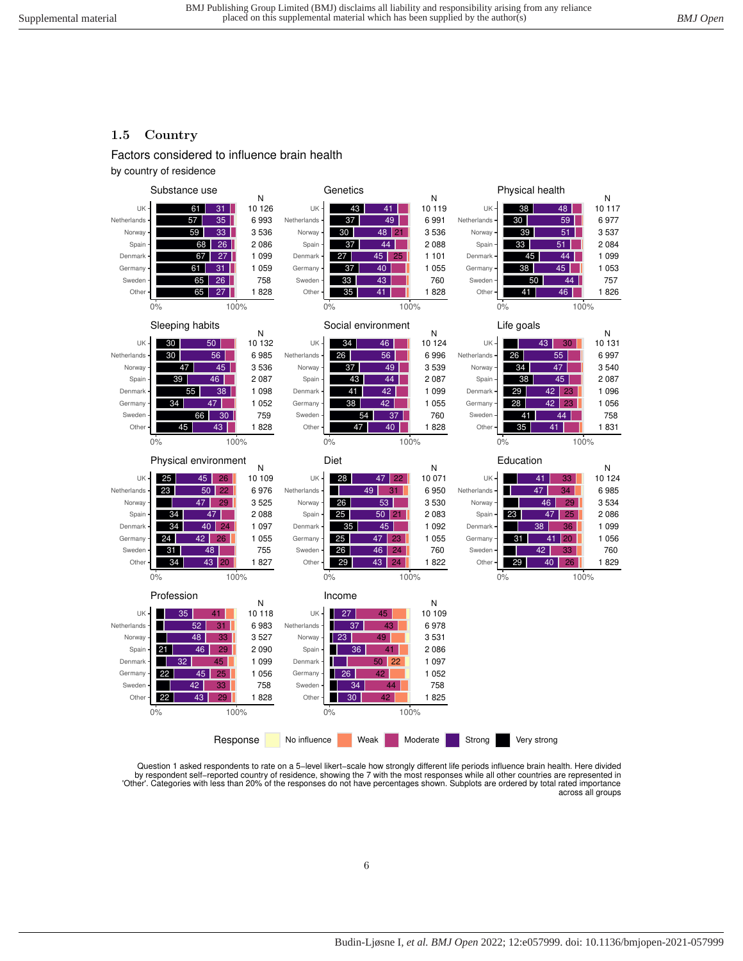### <span id="page-5-0"></span>**1.5 Country**

#### Factors considered to influence brain health

by country of residence



Question 1 asked respondents to rate on a 5−level likert−scale how strongly different life periods influence brain health. Here divided by respondent self−reported country of residence, showing the 7 with the most responses while all other countries are represented in 'Other'. Categories with less than 20% of the responses do not have percentages shown. Subplots are ordered by total rated importance across all groups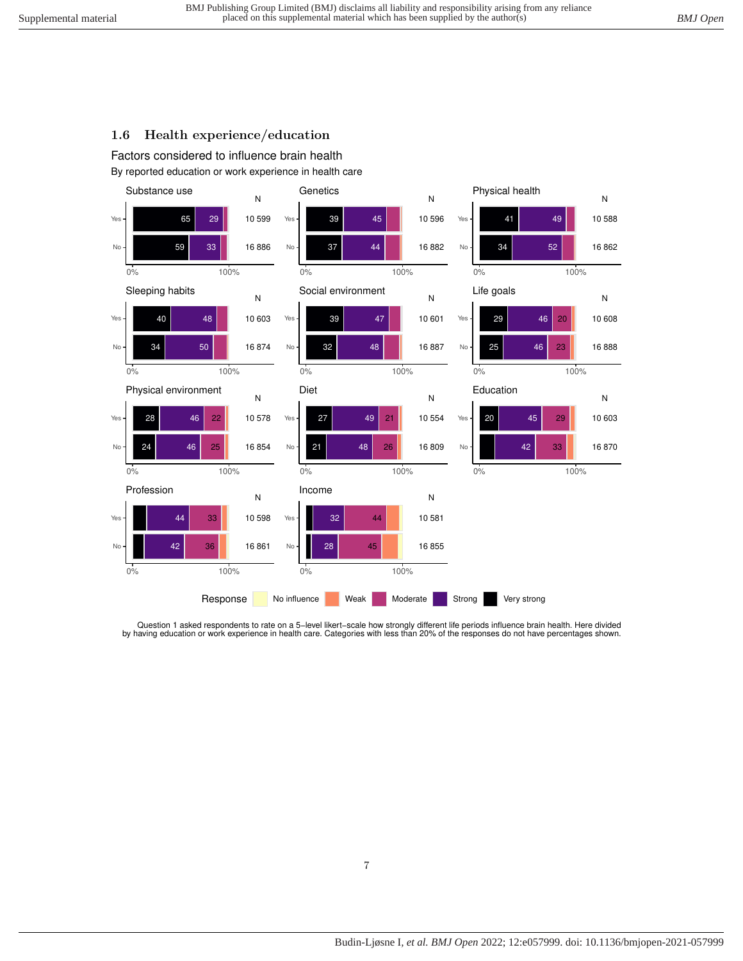## <span id="page-6-0"></span>**1.6 Health experience/education**

By reported education or work experience in health care Factors considered to influence brain health



Question 1 asked respondents to rate on a 5−level likert−scale how strongly different life periods influence brain health. Here divided by having education or work experience in health care. Categories with less than 20% of the responses do not have percentages shown.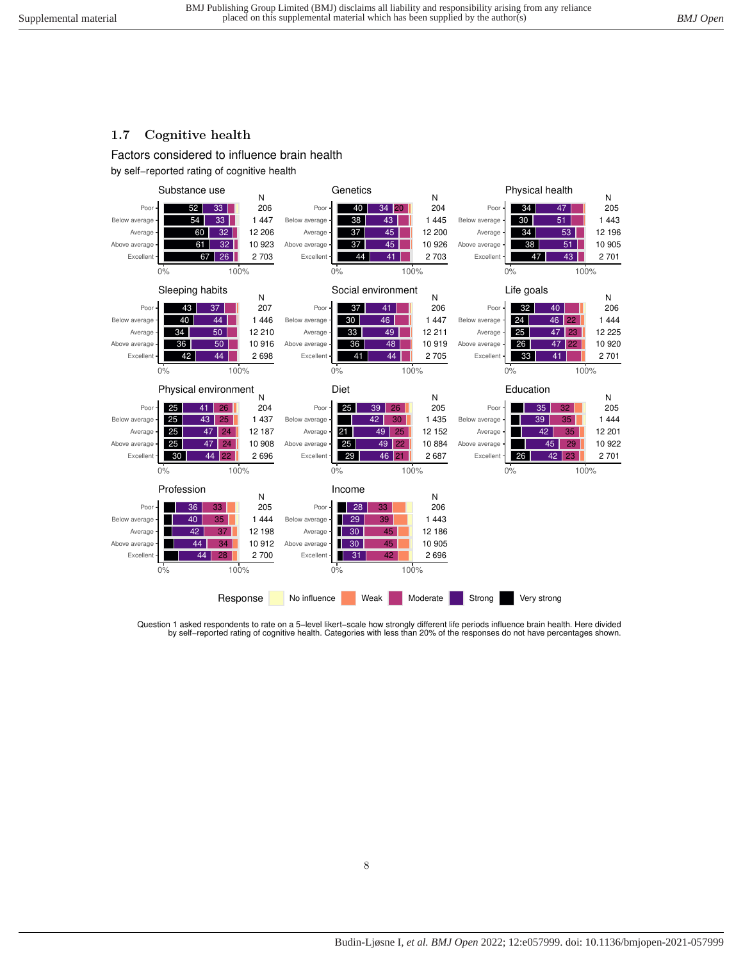## <span id="page-7-0"></span>**1.7 Cognitive health**

Factors considered to influence brain health

by self−reported rating of cognitive health



Question 1 asked respondents to rate on a 5−level likert−scale how strongly different life periods influence brain health. Here divided by self−reported rating of cognitive health. Categories with less than 20% of the responses do not have percentages shown.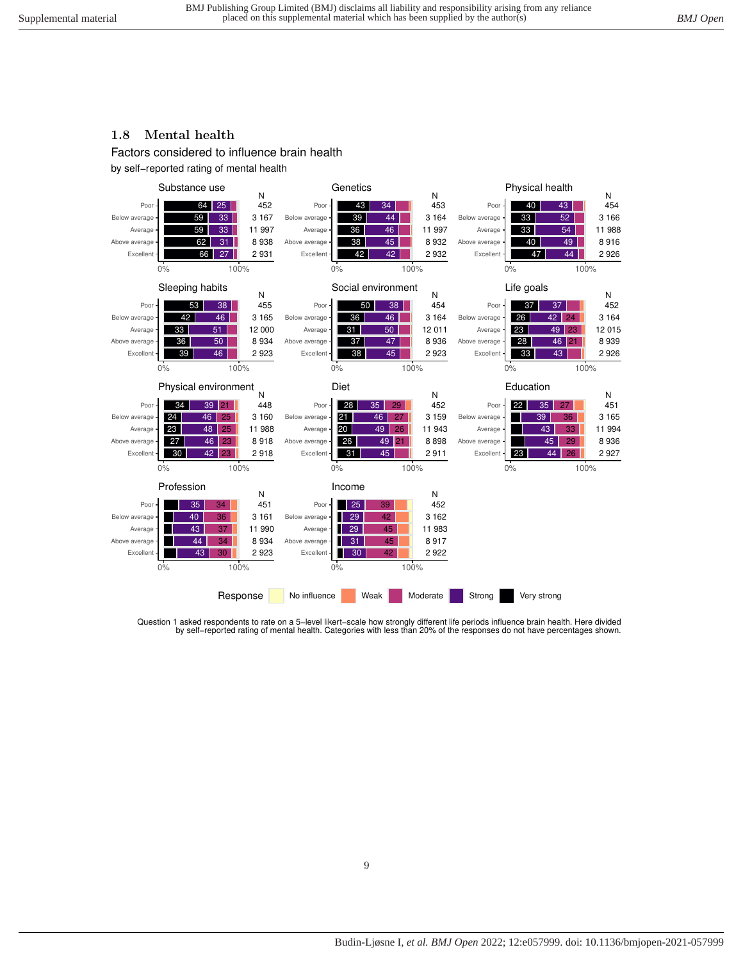# <span id="page-8-0"></span>**1.8 Mental health**

Factors considered to influence brain health

by self−reported rating of mental health



Question 1 asked respondents to rate on a 5–level likert–scale how strongly different life periods influence brain health. Here divided<br>.by self–reported rating of mental health. Categories with less than 20% of the respon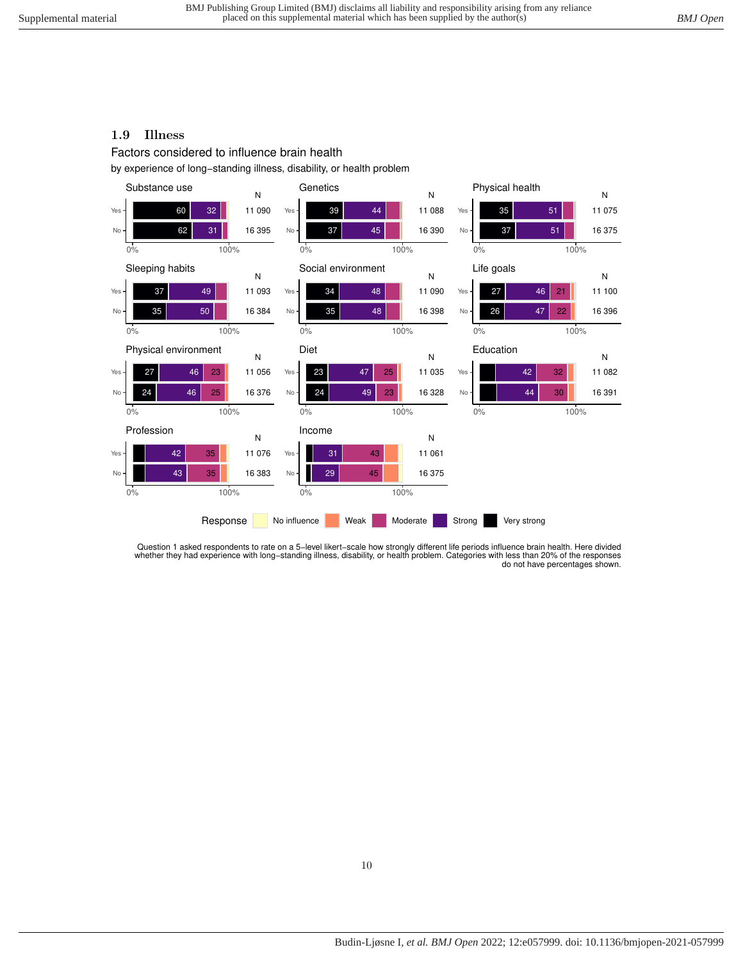## <span id="page-9-0"></span>**1.9 Illness**

Factors considered to influence brain health

by experience of long−standing illness, disability, or health problem



Question 1 asked respondents to rate on a 5−level likert−scale how strongly different life periods influence brain health. Here divided whether they had experience with long−standing illness, disability, or health problem. Categories with less than 20% of the responses do not have percentages shown.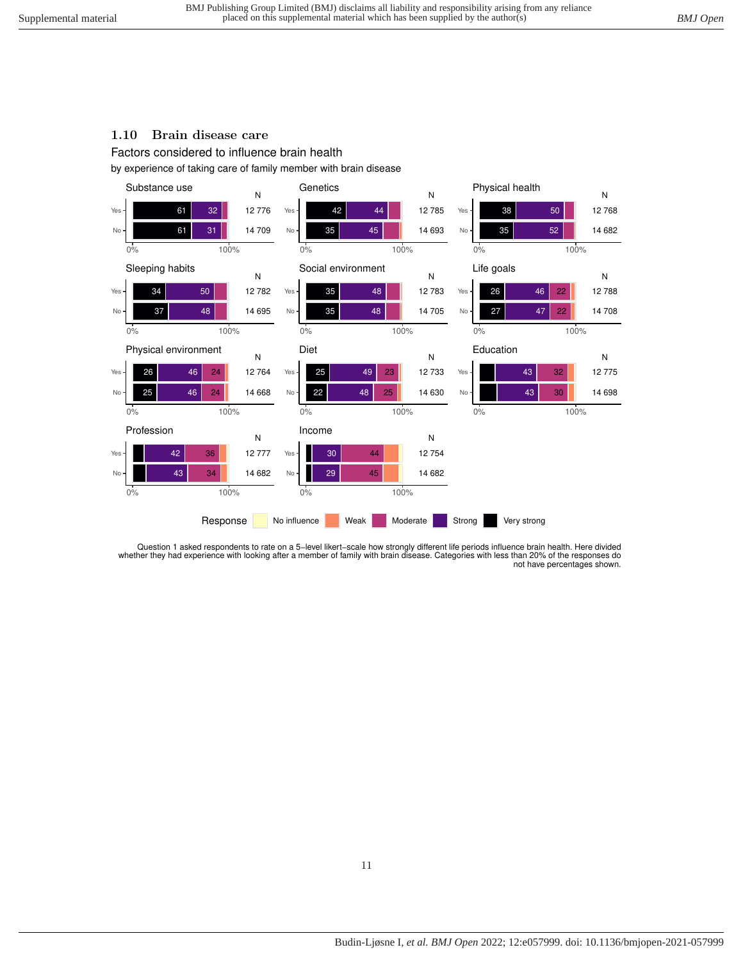#### <span id="page-10-0"></span>**1.10 Brain disease care**

Factors considered to influence brain health

by experience of taking care of family member with brain disease



Question 1 asked respondents to rate on a 5−level likert−scale how strongly different life periods influence brain health. Here divided whether they had experience with looking after a member of family with brain disease. Categories with less than 20% of the responses do not have percentages shown.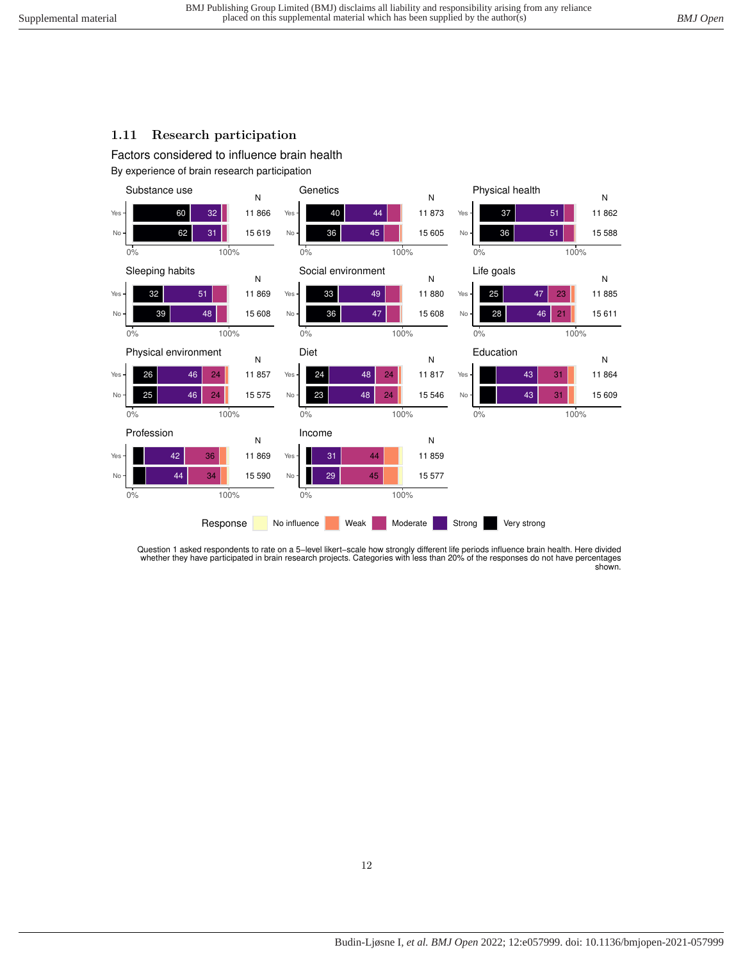## <span id="page-11-0"></span>**1.11 Research participation**

By experience of brain research participation Factors considered to influence brain health



Question 1 asked respondents to rate on a 5-level likert-scale how strongly different life periods influence brain health. Here divided<br>whether they have participated in brain research projects. Categories with less than 2 shown.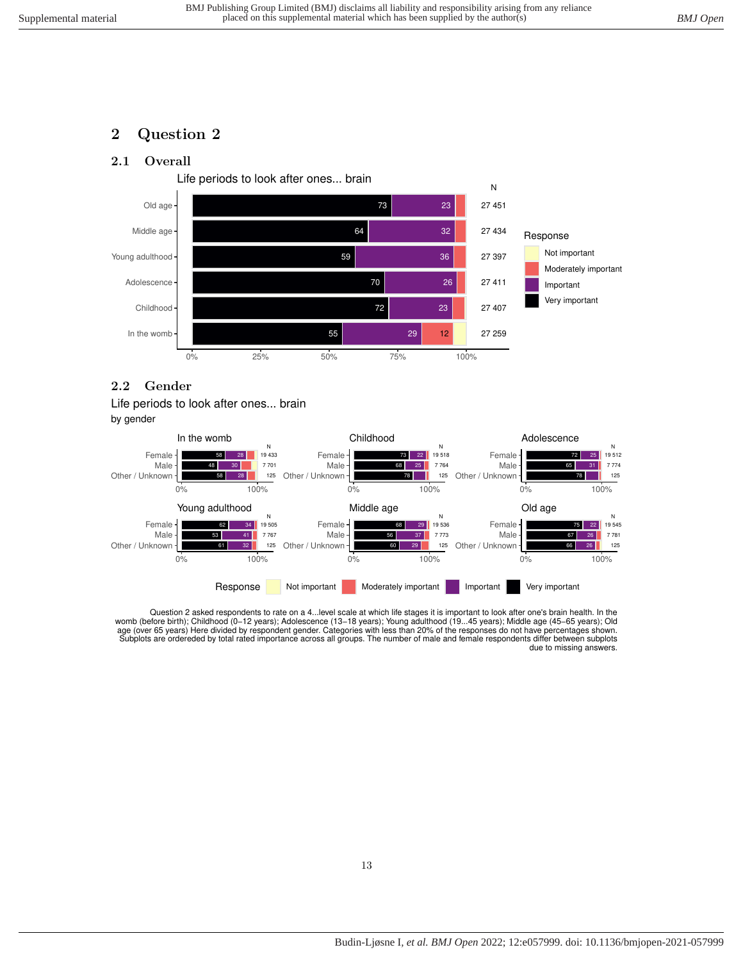# <span id="page-12-1"></span><span id="page-12-0"></span>**2 Question 2**

## **2.1 Overall**



#### <span id="page-12-2"></span>**2.2 Gender**





Question 2 asked respondents to rate on a 4…level scale at which life stages it is important to look after one's brain health. In the<br>womb (before birth); Childhood (0–12 years); Adolescence (13–18 years); Young adulthood age (over 65 years) Here divided by respondent gender. Categories with less than 20% of the responses do not have percentages shown.<br>Subplots are ordereded by total rated importance across all groups. The number of male an due to missing answers.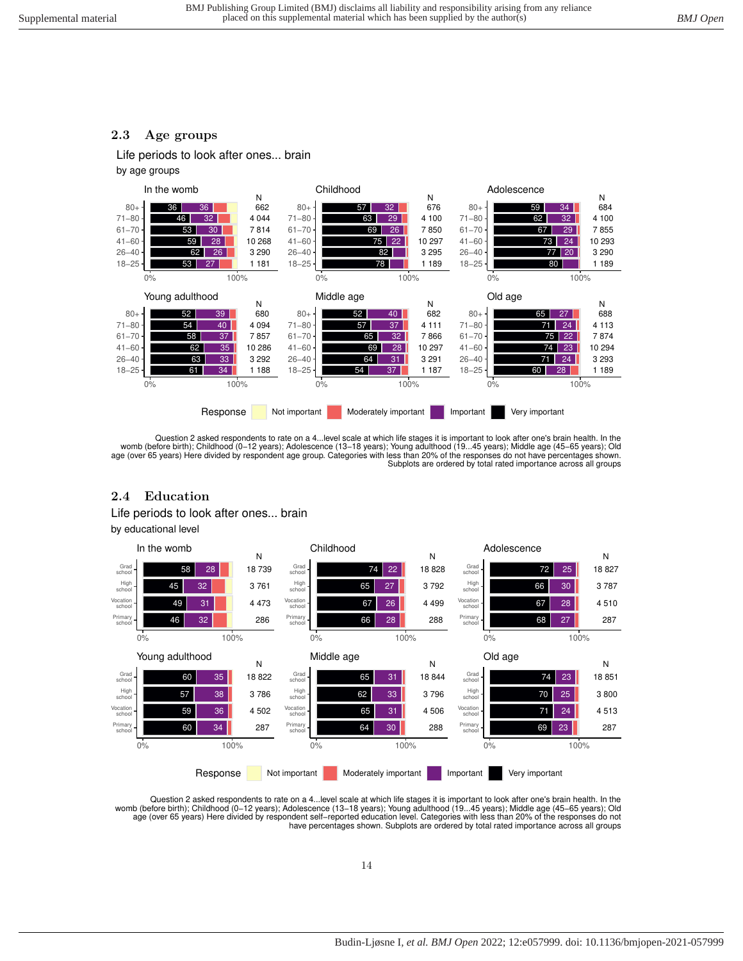## <span id="page-13-0"></span>**2.3 Age groups**

Life periods to look after ones... brain

by age groups



Question 2 asked respondents to rate on a 4…level scale at which life stages it is important to look after one's brain health. In the<br>womb (before birth); Childhood (0–12 years); Adolescence (13–18 years); Young adulthood age (over 65 years) Here divided by respondent age group. Categories with less than 20% of the responses do not have percentages shown. Subplots are ordered by total rated importance across all groups

#### <span id="page-13-1"></span>**2.4 Education**

Life periods to look after ones... brain

by educational level



Question 2 asked respondents to rate on a 4…level scale at which life stages it is important to look after one's brain health. In the<br>womb (before birth); Childhood (0–12 years); Adolescence (13–18 years); Young adulthood have percentages shown. Subplots are ordered by total rated importance across all groups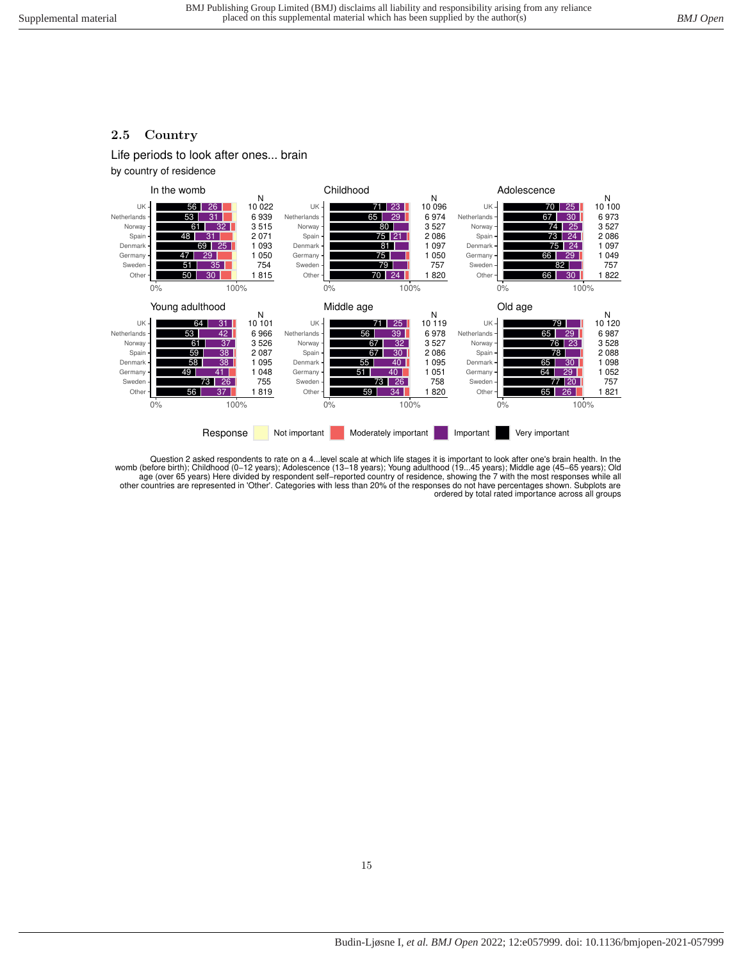#### <span id="page-14-0"></span>**2.5 Country**

Life periods to look after ones... brain

by country of residence



Question 2 asked respondents to rate on a 4…level scale at which life stages it is important to look after one's brain health. In the<br>womb (before birth); Childhood (0–12 years); Adolescence (13–18 years); Young adulthood age (over 65 years) Here divided by respondent self−reported country of residence, showing the 7 with the most responses while all other countries are represented in 'Other'. Categories with less than 20% of the responses do not have percentages shown. Subplots are ordered by total rated importance across all groups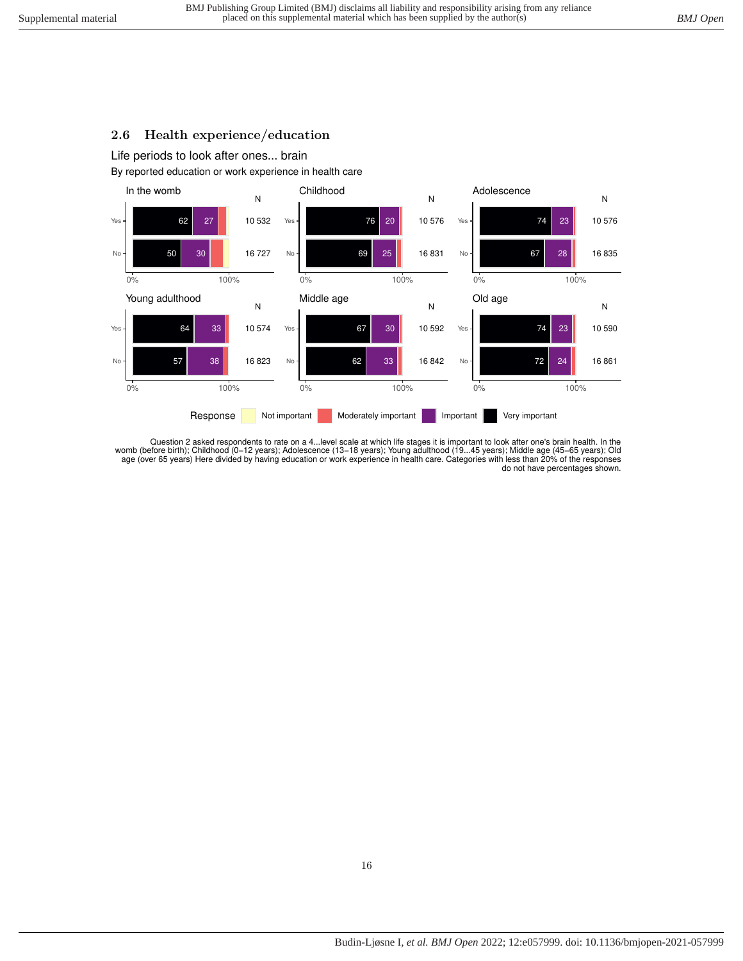#### <span id="page-15-0"></span>**2.6 Health experience/education**

Life periods to look after ones... brain

By reported education or work experience in health care



Question 2 asked respondents to rate on a 4…level scale at which life stages it is important to look after one's brain health. In the<br>womb (before birth); Childhood (0–12 years); Adolescence (13–18 years); Young adulthood age (over 65 years) Here divided by having education or work experience in health care. Categories with less than 20% of the responses do not have percentages shown.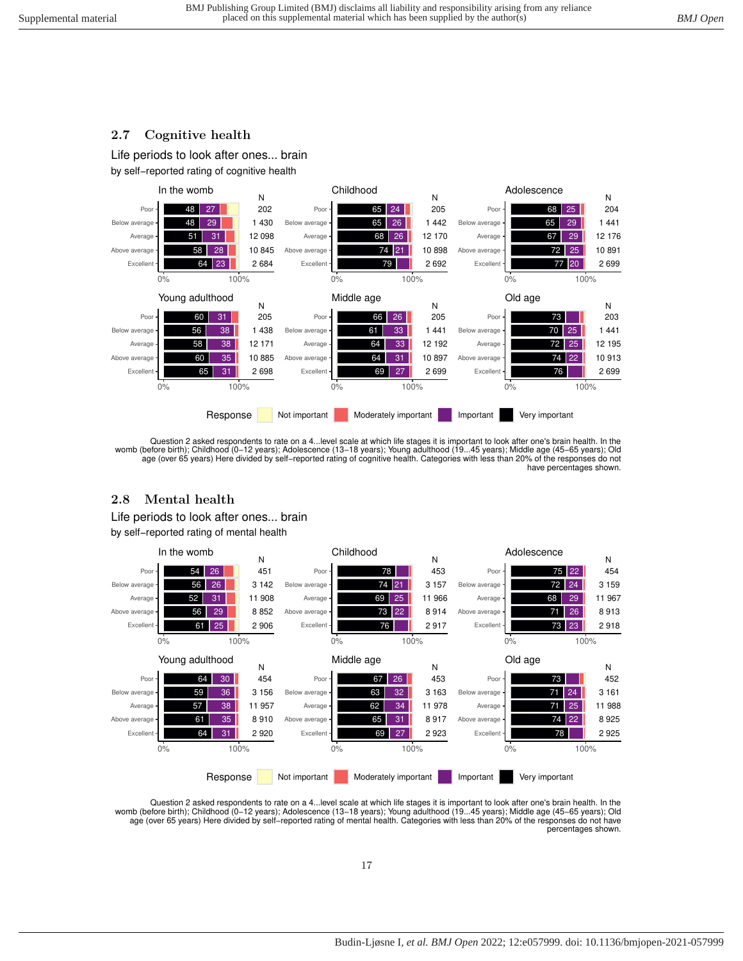#### <span id="page-16-0"></span>**2.7 Cognitive health**

<span id="page-16-1"></span>**2.8 Mental health**

Life periods to look after ones... brain





Question 2 asked respondents to rate on a 4...level scale at which life stages it is important to look after one's brain health. In the womb (before birth); Childhood (0–12 years); Adolescence (13–18 years); Young adulthood (19...45 years); Middle age (45–65 years); Old<br>age (over 65 years) Here divided by self–reported rating of cognitive health. Categorie have percentages shown.

#### 61 25 56 29 52 31 56 26  $54$  26 2 906 8 852 11 908 3 142 451 N Excellen Above average **Average** Below average Poor 0% 100% In the womb 76 73 22 69 25  $74$ 78 2 917 8 914 11 966 3 157 453 N Excellent Above average Average Below average Poor 0% 100% Childhood 73 23 71 26 68 29 72 75 2 918 8 913 11 967 3 159 454 N **Excellent** Above average Average Below average Poo 0% 100% Adolescence 64 31 61 35 57 38 59 36 64 30 2 920 8 910 11 957 3 156 454 N Excellent Above average Average Below average Poo 0% 100% Young adulthood 69 27 65 31 62 34 63 32 67 26 2 923 8 917 11 978 3 163 453 N Excellent Above average Average Below average Poor 0% 100% Middle age 78 74 22 25 71 24 73 2 925 8 925 11 988 3 161 452 N Excellent Above average Average erage Poor 0% 100% Old age Response Not important Moderately important Important Very important by self−reported rating of mental health

Question 2 asked respondents to rate on a 4…level scale at which life stages it is important to look after one's brain health. In the<br>womb (before birth); Childhood (0–12 years); Adolescence (13–18 years); Young adulthood age (over 65 years) Here divided by self−reported rating of mental health. Categories with less than 20% of the responses do not have percentages shown.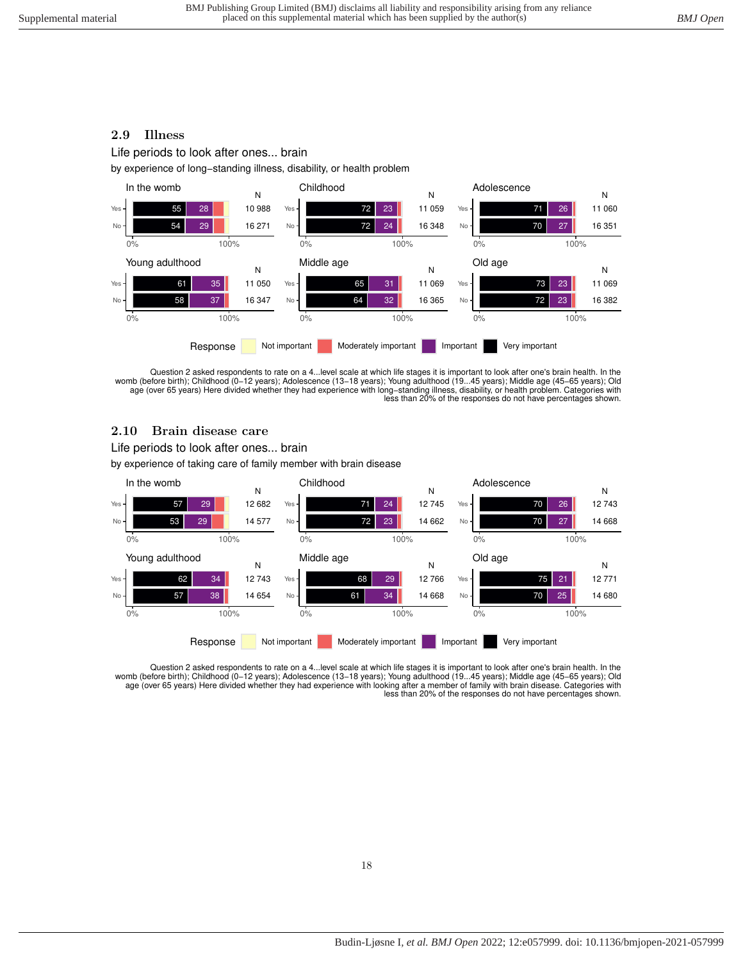#### <span id="page-17-0"></span>**2.9 Illness**

Life periods to look after ones... brain

by experience of long−standing illness, disability, or health problem



Question 2 asked respondents to rate on a 4...level scale at which life stages it is important to look after one's brain health. In the womb (before birth); Childhood (0−12 years); Adolescence (13−18 years); Young adulthood (19...45 years); Middle age (45−65 years); Old age (over 65 years) Here divided whether they had experience with long−standing illness, disability, or health problem. Categories with less than 20% of the responses do not have percentages shown.

#### <span id="page-17-1"></span>**2.10 Brain disease care**

by experience of taking care of family member with brain disease Life periods to look after ones... brain



Question 2 asked respondents to rate on a 4...level scale at which life stages it is important to look after one's brain health. In the<br>womb (before birth); Childhood (0–12 years); Adolescence (13–18 years); Young adulthoo less than 20% of the responses do not have percentages shown.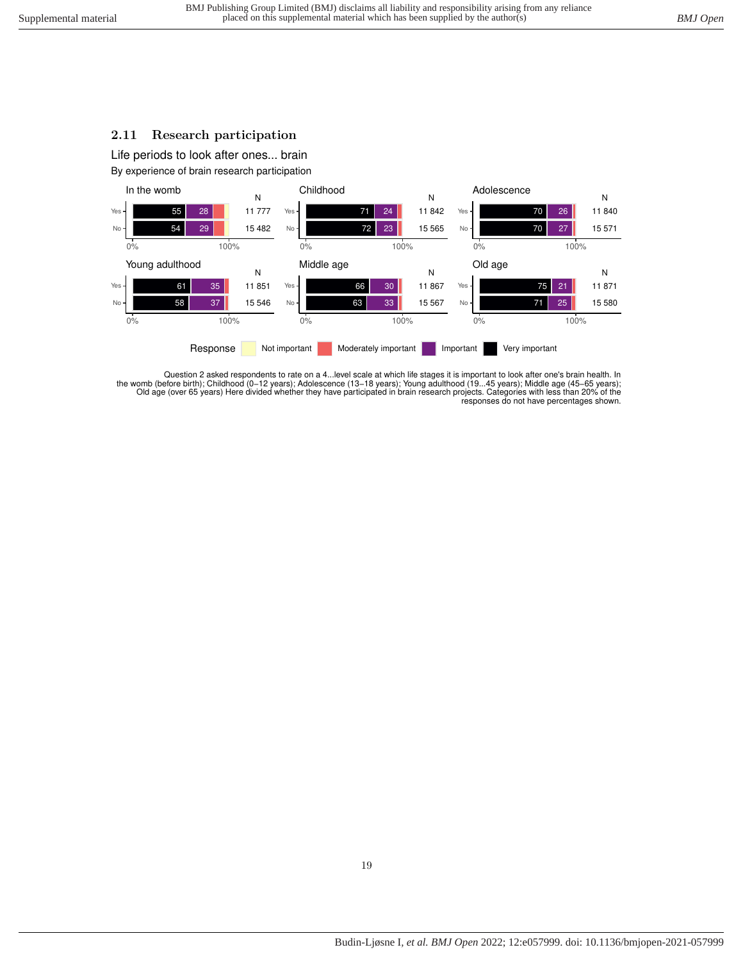## <span id="page-18-0"></span>**2.11 Research participation**

Life periods to look after ones... brain

By experience of brain research participation



Question 2 asked respondents to rate on a 4...level scale at which life stages it is important to look after one's brain health. In the womb (before birth); Childhood (0–12 years); Adolescence (13–18 years); Young adulthood (19…45 years); Middle age (45–65 years);<br>Old age (over 65 years) Here divided whether they have participated in brain research pro responses do not have percentages shown.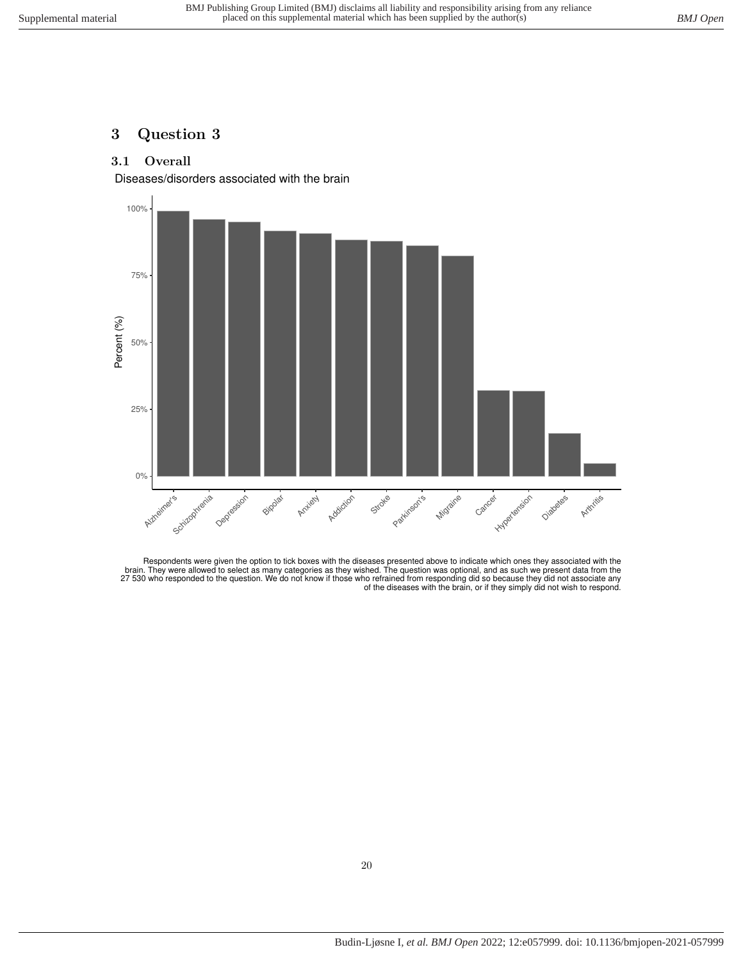# <span id="page-19-1"></span><span id="page-19-0"></span>**3 Question 3**

## **3.1 Overall**

Diseases/disorders associated with the brain



Respondents were given the option to tick boxes with the diseases presented above to indicate which ones they associated with the<br>brain. They were allowed to select as many categories as they wished. The question was optio of the diseases with the brain, or if they simply did not wish to respond.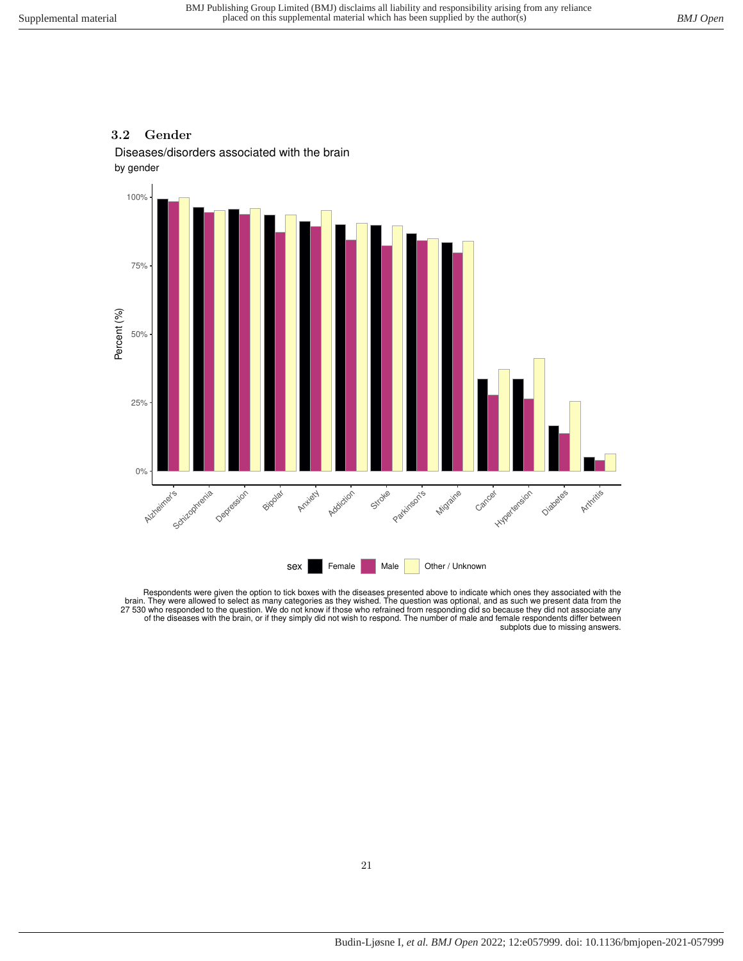#### <span id="page-20-0"></span>**3.2 Gender**

Diseases/disorders associated with the brain





Respondents were given the option to tick boxes with the diseases presented above to indicate which ones they associated with the brain. They were allowed to select as many categories as they wished. The question was optio subplots due to missing answers.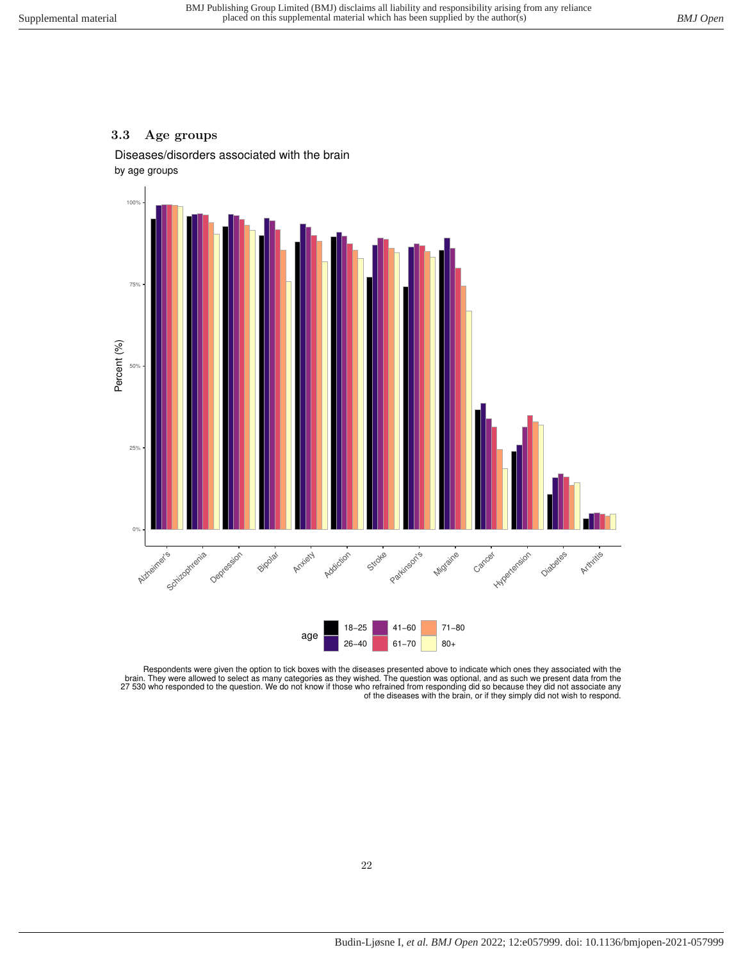#### <span id="page-21-0"></span>**3.3 Age groups**

by age groups Diseases/disorders associated with the brain



Respondents were given the option to tick boxes with the diseases presented above to indicate which ones they associated with the<br>brain. They were allowed to select as many categories as they wished. The question was optio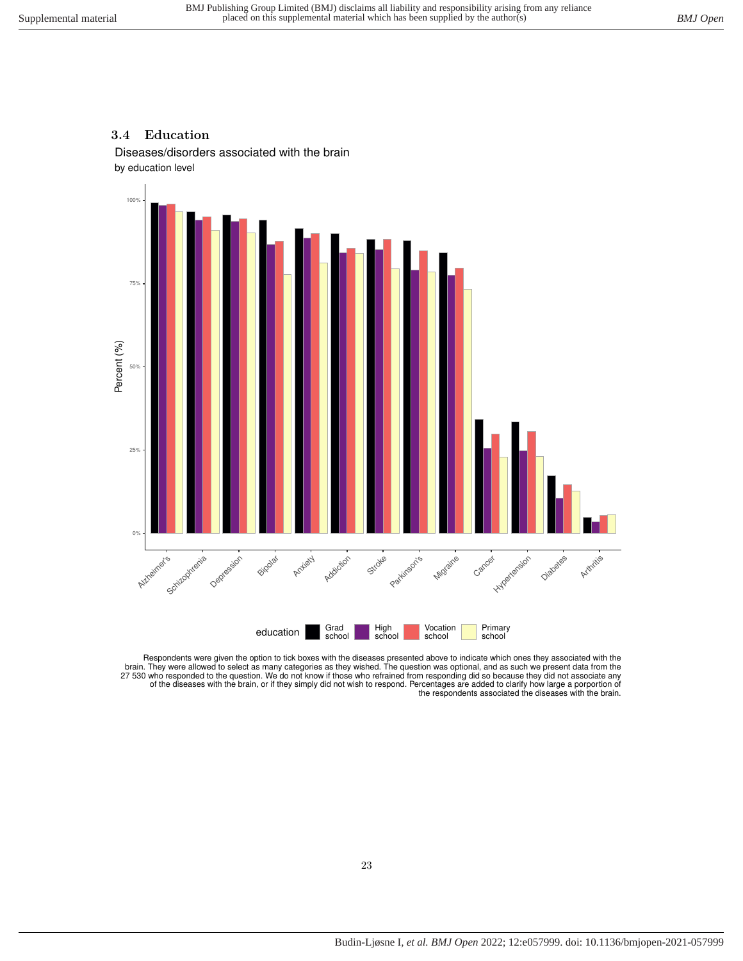#### <span id="page-22-0"></span>**3.4 Education**

Diseases/disorders associated with the brain





Respondents were given the option to tick boxes with the diseases presented above to indicate which ones they associated with the brain. They were allowed to select as many categories as they wished. The question was optio the respondents associated the diseases with the brain.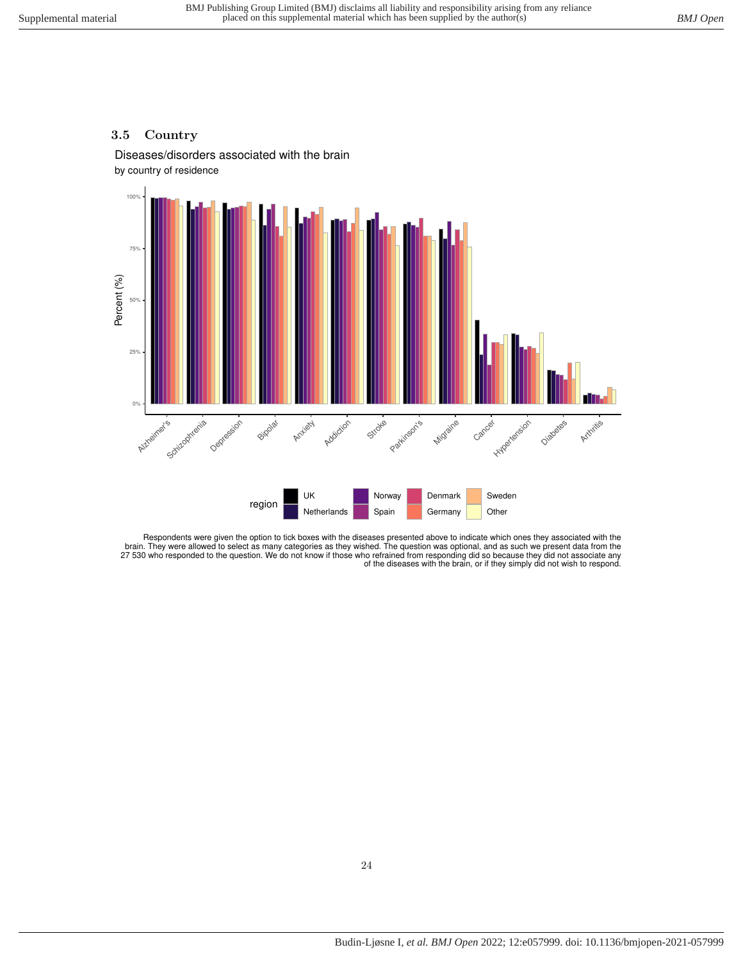#### <span id="page-23-0"></span>**3.5 Country**

by country of residence Diseases/disorders associated with the brain



Respondents were given the option to tick boxes with the diseases presented above to indicate which ones they associated with the brain. They were allowed to select as many categories as they wished. The question was optional, and as such we present data from the<br>27 530 who responded to the question. We do not know if those who refrained from respond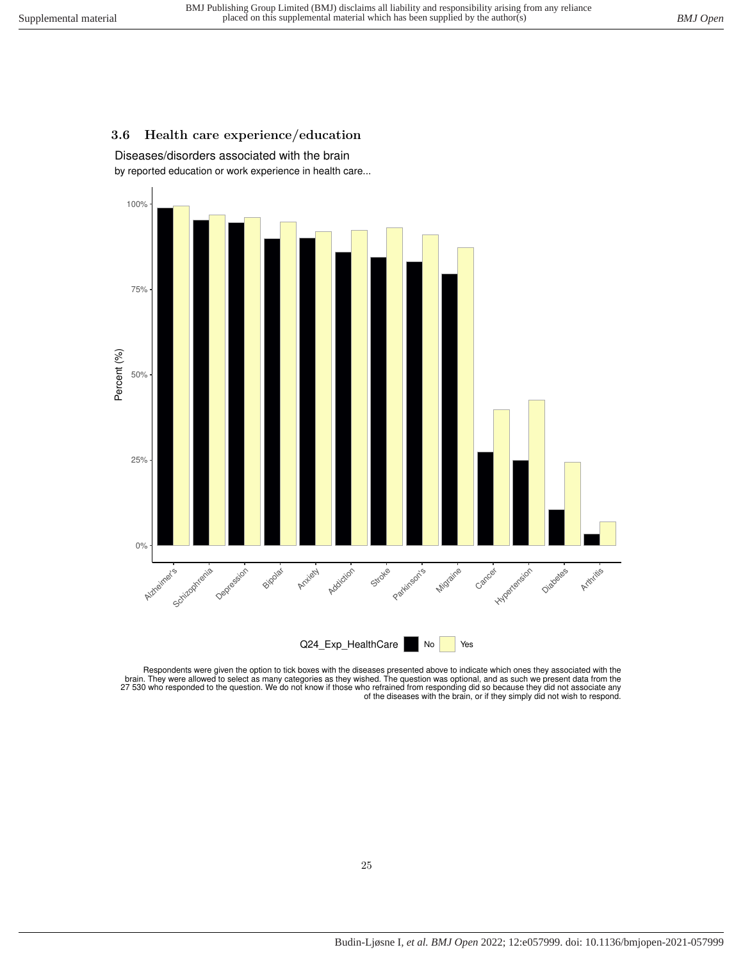## <span id="page-24-0"></span>**3.6 Health care experience/education**

by reported education or work experience in health care... Diseases/disorders associated with the brain



Respondents were given the option to tick boxes with the diseases presented above to indicate which ones they associated with the<br>brain. They were allowed to select as many categories as they wished. The question was optio 27 530 who responded to the question. We do not know if those who refrained from responding did so because they did not associate any<br>.of the diseases with the brain, or if they simply did not wish to respond.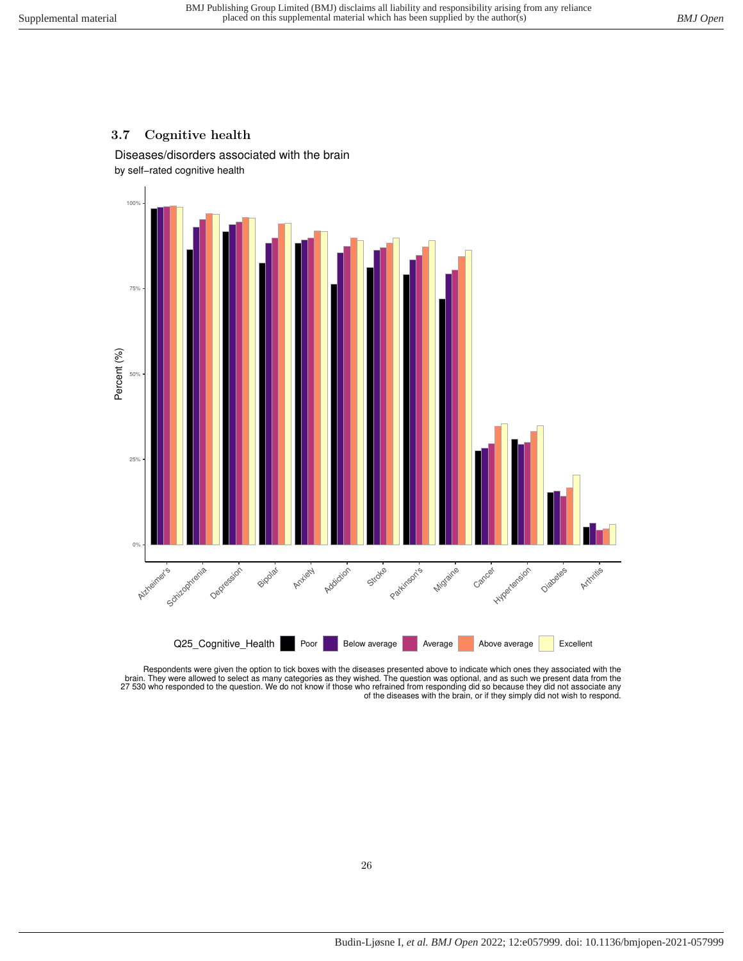#### <span id="page-25-0"></span>**3.7 Cognitive health**

by self−rated cognitive health Diseases/disorders associated with the brain



Respondents were given the option to tick boxes with the diseases presented above to indicate which ones they associated with the<br>brain. They were allowed to select as many categories as they wished. The question was optio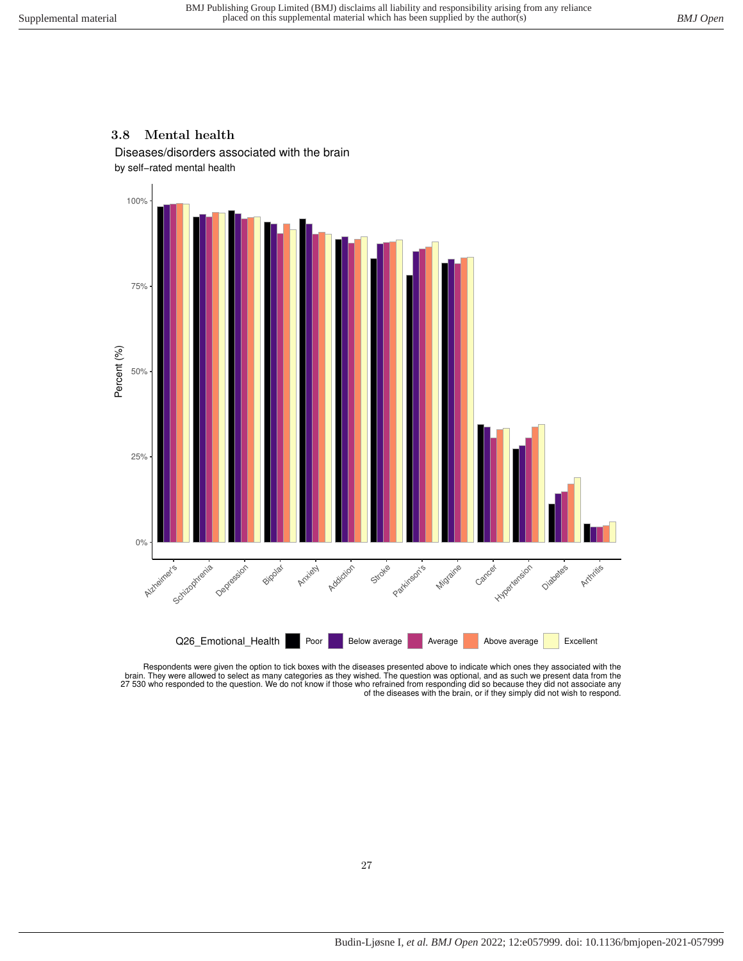#### <span id="page-26-0"></span>**3.8 Mental health**

Diseases/disorders associated with the brain

by self−rated mental health



Respondents were given the option to tick boxes with the diseases presented above to indicate which ones they associated with the brain. They were allowed to select as many categories as they wished. The question was optional, and as such we present data from the<br>27 530 who responded to the question. We do not know if those who refrained from respond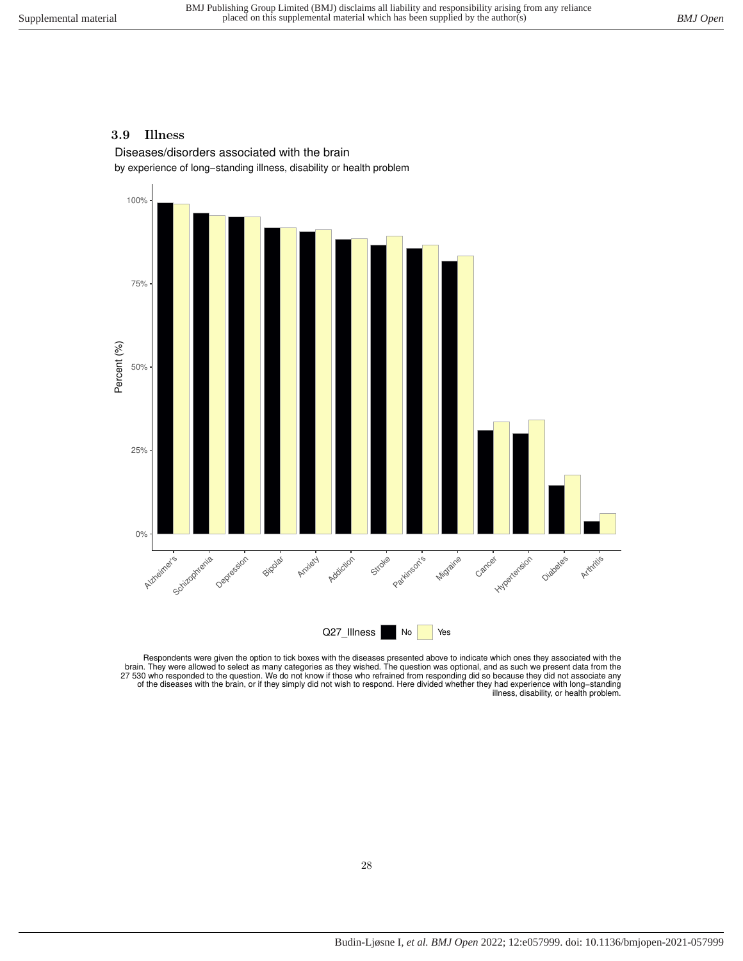#### <span id="page-27-0"></span>**3.9 Illness**

Diseases/disorders associated with the brain

by experience of long−standing illness, disability or health problem



Respondents were given the option to tick boxes with the diseases presented above to indicate which ones they associated with the brain. They were allowed to select as many categories as they wished. The question was optio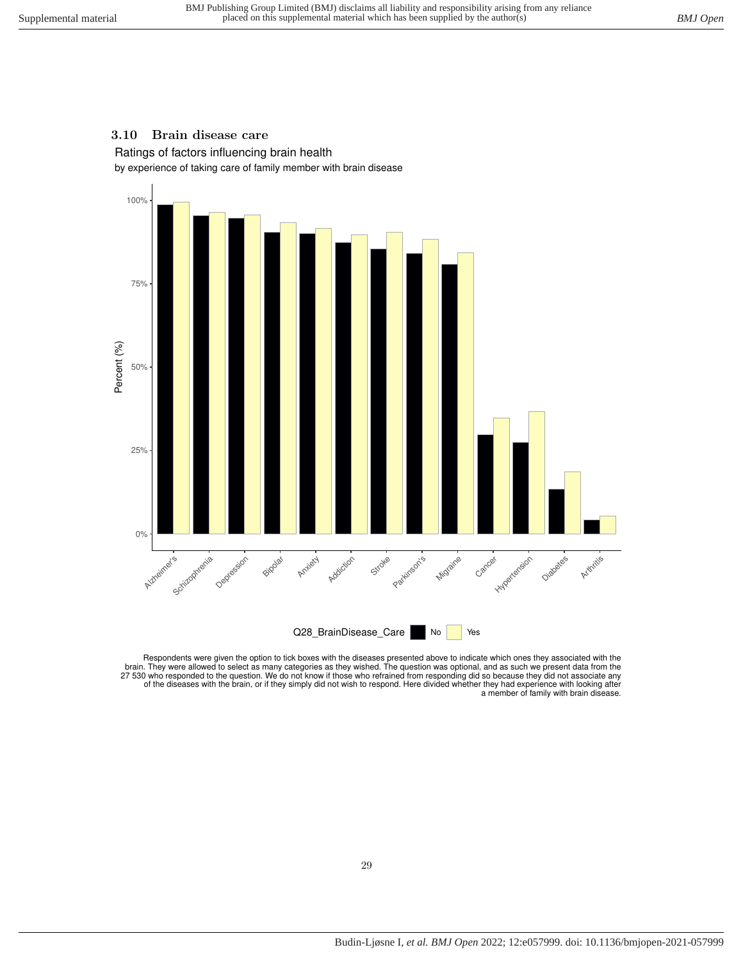### <span id="page-28-0"></span>**3.10 Brain disease care**

Ratings of factors influencing brain health

by experience of taking care of family member with brain disease



Respondents were given the option to tick boxes with the diseases presented above to indicate which ones they associated with the brain. They were allowed to select as many categories as they wished. The question was optio a member of family with brain disease.